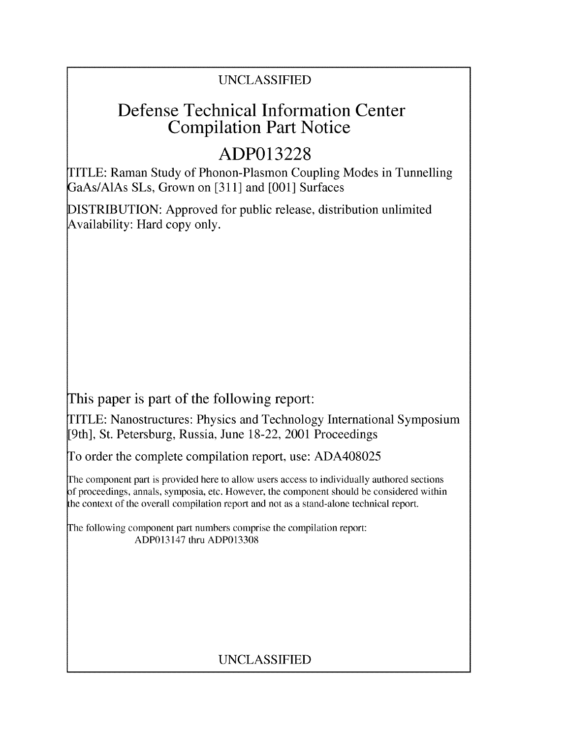## UNCLASSIFIED

## Defense Technical Information Center Compilation Part Notice

# **ADP013228**

TITLE: Raman Study of Phonon-Plasmon Coupling Modes in Tunnelling GaAs/AlAs SLs, Grown on [311] and [001] Surfaces

DISTRIBUTION: Approved for public release, distribution unlimited Availability: Hard copy only.

This paper is part of the following report:

TITLE: Nanostructures: Physics and Technology International Symposium [9th], St. Petersburg, Russia, June 18-22, 2001 Proceedings

To order the complete compilation report, use: ADA408025

The component part is provided here to allow users access to individually authored sections f proceedings, annals, symposia, etc. However, the component should be considered within the context of the overall compilation report and not as a stand-alone technical report.

The following component part numbers comprise the compilation report: ADP013147 thru ADP013308

## UNCLASSIFIED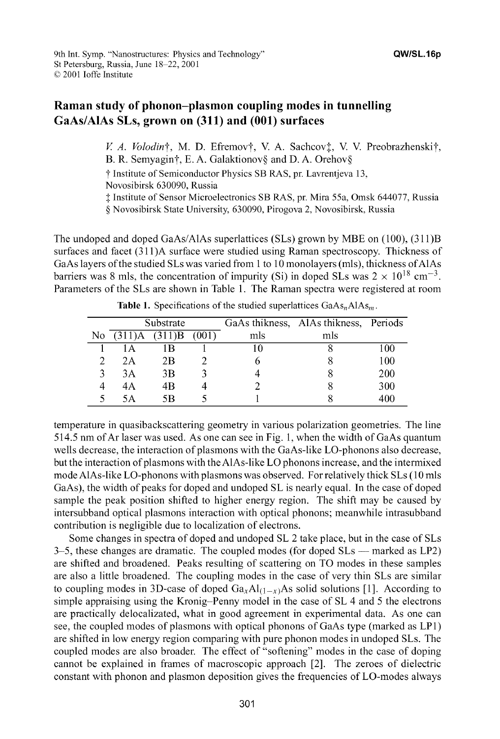### Raman study of phonon-plasmon coupling modes in tunnelling GaAs/AlAs SLs, grown on **(311)** and **(001)** surfaces

*V. A. Volodin†*, M. D. Efremov†, V. A. Sachcov‡, V. V. Preobrazhenski†, B. R. Semyagin†, E. A. Galaktionov§ and D. A. Orehov§ t Institute of Semiconductor Physics SB RAS, pr. Lavrentjeva 13,

Novosibirsk 630090, Russia

**I** Institute of Sensor Microelectronics SB RAS, pr. Mira 55a, Omsk 644077, Russia

**§** Novosibirsk State University, 630090, Pirogova 2, Novosibirsk, Russia

The undoped and doped GaAs/AlAs superlattices (SLs) grown by MBE on (100), (31 1)B surfaces and facet (311 )A surface were studied using Raman spectroscopy. Thickness of GaAs layers of the studied SLs was varied from **I** to 10 monolayers (mIs), thickness ofAlAs barriers was 8 mls, the concentration of impurity (Si) in doped SLs was  $2 \times 10^{18}$  cm<sup>-3</sup>. Parameters of the SLs are shown in Table 1. The Raman spectra were registered at room

|     |                   | Substrate |       |     | GaAs thikness, AlAs thikness, Periods |     |
|-----|-------------------|-----------|-------|-----|---------------------------------------|-----|
| No. | $(311)A$ $(311)B$ |           | (001) | mls | mls                                   |     |
|     | l A               | l B       |       |     |                                       | 100 |
|     | 2Α                | 2Β        |       |     |                                       | 100 |
|     | 3A                | 3Β        |       |     |                                       | 200 |
| 4   | 4A                | 4B        |       |     |                                       | 300 |
|     | 5Α                | 5R        |       |     |                                       | 400 |

**Table 1.** Specifications of the studied superlattices  $GaAs<sub>n</sub>A1As<sub>m</sub>$ .

temperature in quasibackscattering geometry in various polarization geometries. The line 514.5 nm of Ar laser was used. As one can see in Fig. 1, when the width of GaAs quantum wells decrease, the interaction of plasmons with the GaAs-like LO-phonons also decrease, but the interaction of plasmons with the AlAs-like LO phonons increase, and the intermixed mode AlAs-like LO-phonons with plasmons was observed. For relatively thick SLs (10 mls GaAs), the width of peaks for doped and undoped SL is nearly equal. In the case of doped sample the peak position shifted to higher energy region. The shift may be caused by intersubband optical plasmons interaction with optical phonons; meanwhile intrasubband contribution is negligible due to localization of electrons.

Some changes in spectra of doped and undoped SL 2 take place, but in the case of SLs 3-5, these changes are dramatic. The coupled modes (for doped SLs **-** marked as LP2) are shifted and broadened. Peaks resulting of scattering on TO modes in these samples are also a little broadened. The coupling modes in the case of very thin SLs are similar to coupling modes in 3D-case of doped  $Ga_xAl_{(1-x)}As$  solid solutions [1]. According to simple appraising using the Kronig-Penny model in the case of SL 4 and 5 the electrons are practically delocalizated, what in good agreement in experimental data. As one can see, the coupled modes of plasmons with optical phonons of GaAs type (marked as LP1) are shifted in low energy region comparing with pure phonon modes in undoped SLs. The coupled modes are also broader. The effect of "softening" modes in the case of doping cannot be explained in frames of macroscopic approach [2]. The zeroes of dielectric constant with phonon and plasmon deposition gives the frequencies of LO-modes always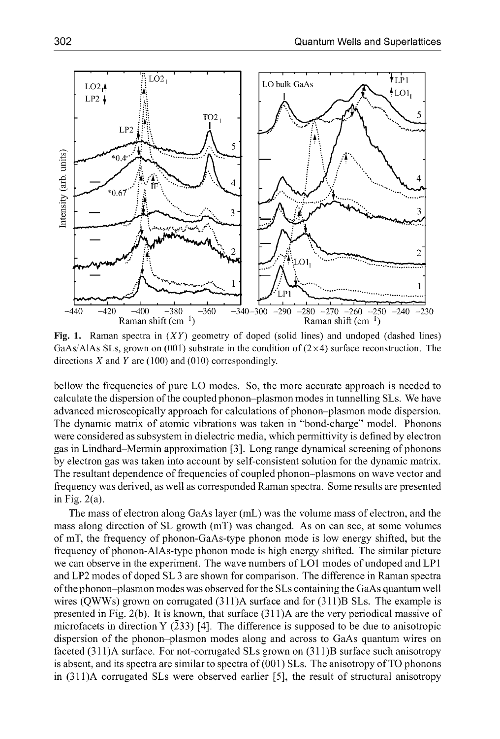

Fig. **1.** Raman spectra in (XY) geometry of doped (solid lines) and undoped (dashed lines) GaAs/AlAs SLs, grown on (001) substrate in the condition of  $(2\times 4)$  surface reconstruction. The directions  $X$  and  $Y$  are (100) and (010) correspondingly.

bellow the frequencies of pure LO modes. So, the more accurate approach is needed to calculate the dispersion of the coupled phonon-plasmon modes in tunnelling SLs. We have advanced microscopically approach for calculations of phonon-plasmon mode dispersion. The dynamic matrix of atomic vibrations was taken in "bond-charge" model. Phonons were considered as subsystem in dielectric media, which permittivity is defined by electron gas in Lindhard-Mermin approximation [3]. Long range dynamical screening of phonons by electron gas was taken into account by self-consistent solution for the dynamic matrix. The resultant dependence of frequencies of coupled phonon-plasmons on wave vector and frequency was derived, as well as corresponded Raman spectra. Some results are presented in Fig. 2(a).

The mass of electron along GaAs layer (mL) was the volume mass of electron, and the mass along direction of SL growth (mT) was changed. As on can see, at some volumes of mT, the frequency of phonon-GaAs-type phonon mode is low energy shifted, but the frequency of phonon-AlAs-type phonon mode is high energy shifted. The similar picture we can observe in the experiment. The wave numbers of LO1 modes of undoped and LP1 and LP2 modes of doped SL 3 are shown for comparison. The difference in Raman spectra of the phonon-plasmon modes was observed for the SLs containing the GaAs quantum well wires (QWWs) grown on corrugated (311)A surface and for (311)B SLs. The example is presented in Fig. 2(b). It is known, that surface (31 1)A are the very periodical massive of microfacets in direction Y (233) [4]. The difference is supposed to be due to anisotropic dispersion of the phonon-plasmon modes along and across to GaAs quantum wires on faceted (31 1)A surface. For not-corrugated SLs grown on (31 1)B surface such anisotropy is absent, and its spectra are similar to spectra of (001) SLs. The anisotropy of TO phonons in  $(311)A$  corrugated SLs were observed earlier [5], the result of structural anisotropy